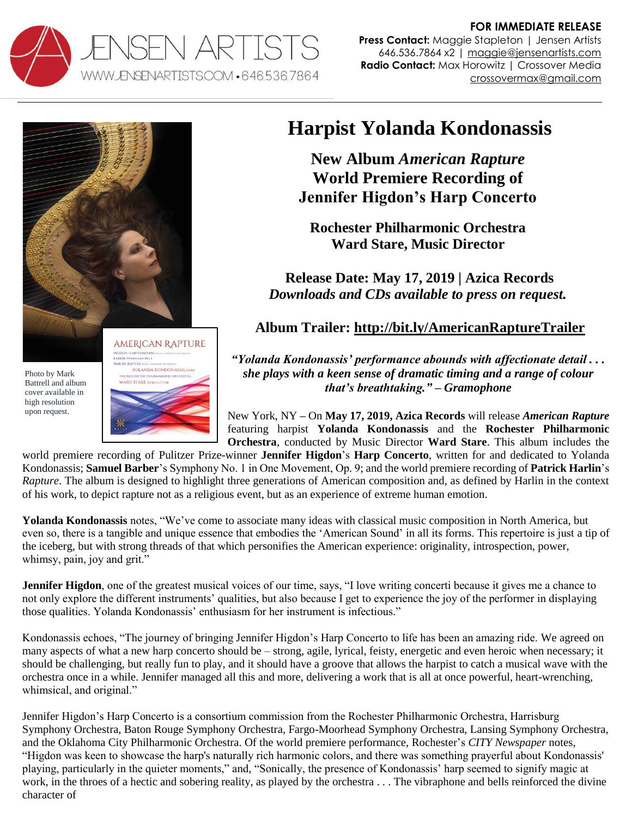

**FOR IMMEDIATE RELEASE Press Contact:** Maggie Stapleton | Jensen Artists 646.536.7864 x2 | [maggie@jensenartists.com](mailto:maggie@jensenartists.com) **Radio Contact:** Max Horowitz | Crossover Media crossovermax@gmail.com



Photo by Mark Battrell and album cover available in high resolution upon request.



## **Harpist Yolanda Kondonassis**

**New Album** *American Rapture*  **World Premiere Recording of Jennifer Higdon's Harp Concerto**

**Rochester Philharmonic Orchestra Ward Stare, Music Director**

**Release Date: May 17, 2019 | Azica Records** *Downloads and CDs available to press on request.*

## **Album Trailer:<http://bit.ly/AmericanRaptureTrailer>**

*"Yolanda Kondonassis' performance abounds with affectionate detail . . . she plays with a keen sense of dramatic timing and a range of colour that's breathtaking." – Gramophone*

New York, NY **–** On **May 17, 2019, Azica Records** will release *American Rapture* featuring harpist **Yolanda Kondonassis** and the **Rochester Philharmonic Orchestra**, conducted by Music Director **Ward Stare**. This album includes the

world premiere recording of Pulitzer Prize-winner **Jennifer Higdon**'s **Harp Concerto**, written for and dedicated to Yolanda Kondonassis; **Samuel Barber**'s Symphony No. 1 in One Movement, Op. 9; and the world premiere recording of **Patrick Harlin**'s *Rapture*. The album is designed to highlight three generations of American composition and, as defined by Harlin in the context of his work, to depict rapture not as a religious event, but as an experience of extreme human emotion.

**Yolanda Kondonassis** notes, "We've come to associate many ideas with classical music composition in North America, but even so, there is a tangible and unique essence that embodies the 'American Sound' in all its forms. This repertoire is just a tip of the iceberg, but with strong threads of that which personifies the American experience: originality, introspection, power, whimsy, pain, joy and grit."

**Jennifer Higdon**, one of the greatest musical voices of our time, says, "I love writing concerti because it gives me a chance to not only explore the different instruments' qualities, but also because I get to experience the joy of the performer in displaying those qualities. Yolanda Kondonassis' enthusiasm for her instrument is infectious."

Kondonassis echoes, "The journey of bringing Jennifer Higdon's Harp Concerto to life has been an amazing ride. We agreed on many aspects of what a new harp concerto should be – strong, agile, lyrical, feisty, energetic and even heroic when necessary; it should be challenging, but really fun to play, and it should have a groove that allows the harpist to catch a musical wave with the orchestra once in a while. Jennifer managed all this and more, delivering a work that is all at once powerful, heart-wrenching, whimsical, and original."

Jennifer Higdon's Harp Concerto is a consortium commission from the Rochester Philharmonic Orchestra, Harrisburg Symphony Orchestra, Baton Rouge Symphony Orchestra, Fargo-Moorhead Symphony Orchestra, Lansing Symphony Orchestra, and the Oklahoma City Philharmonic Orchestra. Of the world premiere performance, Rochester's *CITY Newspaper* notes, "Higdon was keen to showcase the harp's naturally rich harmonic colors, and there was something prayerful about Kondonassis' playing, particularly in the quieter moments," and, "Sonically, the presence of Kondonassis' harp seemed to signify magic at work, in the throes of a hectic and sobering reality, as played by the orchestra . . . The vibraphone and bells reinforced the divine character of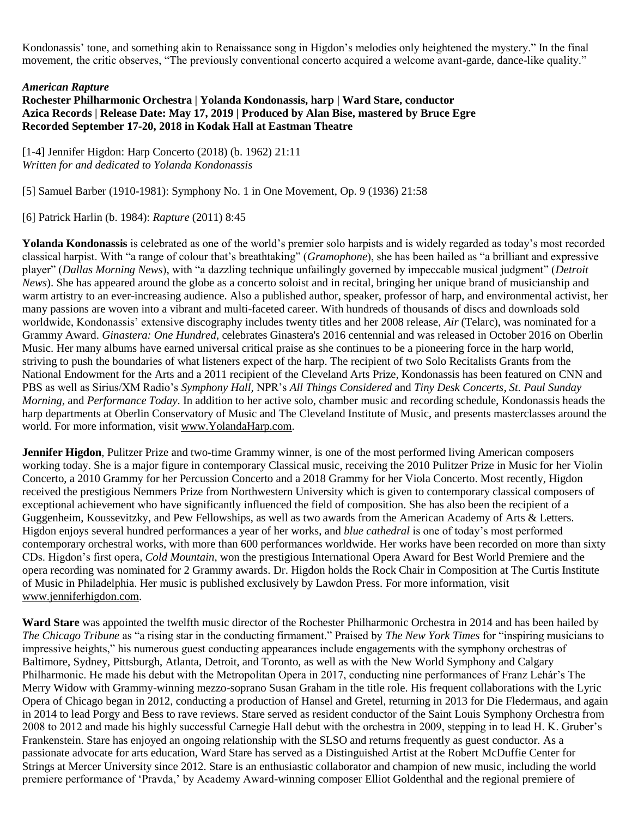Kondonassis' tone, and something akin to Renaissance song in Higdon's melodies only heightened the mystery." In the final movement, the critic observes, "The previously conventional concerto acquired a welcome avant-garde, dance-like quality."

## *American Rapture*

## **Rochester Philharmonic Orchestra | Yolanda Kondonassis, harp | Ward Stare, conductor Azica Records | Release Date: May 17, 2019 | Produced by Alan Bise, mastered by Bruce Egre Recorded September 17-20, 2018 in Kodak Hall at Eastman Theatre**

[1-4] Jennifer Higdon: Harp Concerto (2018) (b. 1962) 21:11 *Written for and dedicated to Yolanda Kondonassis*

[5] Samuel Barber (1910-1981): Symphony No. 1 in One Movement, Op. 9 (1936) 21:58

[6] Patrick Harlin (b. 1984): *Rapture* (2011) 8:45

**Yolanda Kondonassis** is celebrated as one of the world's premier solo harpists and is widely regarded as today's most recorded classical harpist. With "a range of colour that's breathtaking" (*Gramophone*), she has been hailed as "a brilliant and expressive player" (*Dallas Morning News*), with "a dazzling technique unfailingly governed by impeccable musical judgment" (*Detroit News*). She has appeared around the globe as a concerto soloist and in recital, bringing her unique brand of musicianship and warm artistry to an ever-increasing audience. Also a published author, speaker, professor of harp, and environmental activist, her many passions are woven into a vibrant and multi-faceted career. With hundreds of thousands of discs and downloads sold worldwide, Kondonassis' extensive discography includes twenty titles and her 2008 release, *Air* (Telarc), was nominated for a Grammy Award. *Ginastera: One Hundred*, celebrates Ginastera's 2016 centennial and was released in October 2016 on Oberlin Music. Her many albums have earned universal critical praise as she continues to be a pioneering force in the harp world, striving to push the boundaries of what listeners expect of the harp. The recipient of two Solo Recitalists Grants from the National Endowment for the Arts and a 2011 recipient of the Cleveland Arts Prize, Kondonassis has been featured on CNN and PBS as well as Sirius/XM Radio's *Symphony Hall,* NPR's *All Things Considered* and *Tiny Desk Concerts*, *St. Paul Sunday Morning,* and *Performance Today*. In addition to her active solo, chamber music and recording schedule, Kondonassis heads the harp departments at Oberlin Conservatory of Music and The Cleveland Institute of Music, and presents masterclasses around the world. For more information, visit [www.YolandaHarp.com.](http://www.yolandaharp.com/)

**Jennifer Higdon**, Pulitzer Prize and two-time Grammy winner, is one of the most performed living American composers working today. She is a major figure in contemporary Classical music, receiving the 2010 Pulitzer Prize in Music for her Violin Concerto, a 2010 Grammy for her Percussion Concerto and a 2018 Grammy for her Viola Concerto. Most recently, Higdon received the prestigious Nemmers Prize from Northwestern University which is given to contemporary classical composers of exceptional achievement who have significantly influenced the field of composition. She has also been the recipient of a Guggenheim, Koussevitzky, and Pew Fellowships, as well as two awards from the American Academy of Arts & Letters. Higdon enjoys several hundred performances a year of her works, and *blue cathedral* is one of today's most performed contemporary orchestral works, with more than 600 performances worldwide. Her works have been recorded on more than sixty CDs. Higdon's first opera*, Cold Mountain*, won the prestigious International Opera Award for Best World Premiere and the opera recording was nominated for 2 Grammy awards. Dr. Higdon holds the Rock Chair in Composition at The Curtis Institute of Music in Philadelphia. Her music is published exclusively by Lawdon Press. For more information, visit [www.jenniferhigdon.com.](http://www.jenniferhigdon.com/)

**Ward Stare** was appointed the twelfth music director of the Rochester Philharmonic Orchestra in 2014 and has been hailed by *The Chicago Tribune* as "a rising star in the conducting firmament." Praised by *The New York Times* for "inspiring musicians to impressive heights," his numerous guest conducting appearances include engagements with the symphony orchestras of Baltimore, Sydney, Pittsburgh, Atlanta, Detroit, and Toronto, as well as with the New World Symphony and Calgary Philharmonic. He made his debut with the Metropolitan Opera in 2017, conducting nine performances of Franz Lehár's The Merry Widow with Grammy-winning mezzo-soprano Susan Graham in the title role. His frequent collaborations with the Lyric Opera of Chicago began in 2012, conducting a production of Hansel and Gretel, returning in 2013 for Die Fledermaus, and again in 2014 to lead Porgy and Bess to rave reviews. Stare served as resident conductor of the Saint Louis Symphony Orchestra from 2008 to 2012 and made his highly successful Carnegie Hall debut with the orchestra in 2009, stepping in to lead H. K. Gruber's Frankenstein. Stare has enjoyed an ongoing relationship with the SLSO and returns frequently as guest conductor. As a passionate advocate for arts education, Ward Stare has served as a Distinguished Artist at the Robert McDuffie Center for Strings at Mercer University since 2012. Stare is an enthusiastic collaborator and champion of new music, including the world premiere performance of 'Pravda,' by Academy Award-winning composer Elliot Goldenthal and the regional premiere of